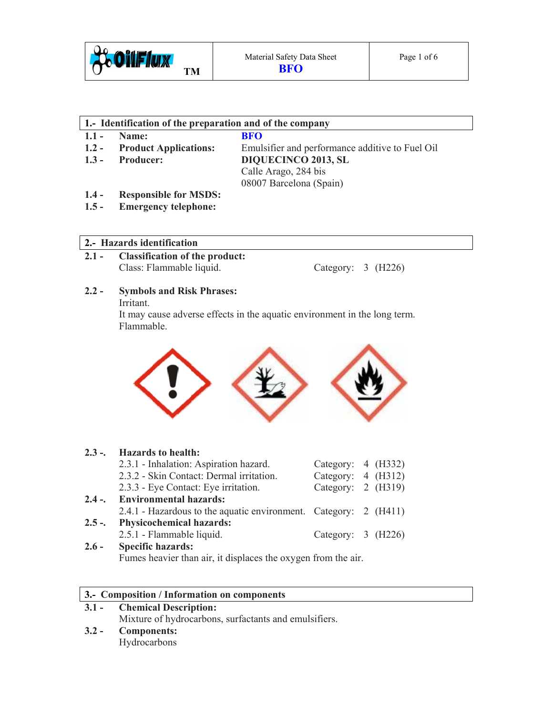

# **1.- Identification of the preparation and of the company**

- 
- **1.1 Name: BFO**<br>**1.2 Product Applications:** Emul
- 

**Product Applications:** Emulsifier and performance additive to Fuel Oil **1.3 - Producer: DIQUECINCO 2013, SL** Calle Arago, 284 bis 08007 Barcelona (Spain)

- **1.4 Responsible for MSDS:**
- **1.5 Emergency telephone:**

#### **2.- Hazards identification**

**2.1 - Classification of the product:**  Class: Flammable liquid. Category: 3 (H226)

# **2.2 - Symbols and Risk Phrases:**

Irritant.

It may cause adverse effects in the aquatic environment in the long term. Flammable.



|         | 2.3 -. Hazards to health:                                        |                      |  |
|---------|------------------------------------------------------------------|----------------------|--|
|         | 2.3.1 - Inhalation: Aspiration hazard.                           | Category: $4$ (H332) |  |
|         | 2.3.2 - Skin Contact: Dermal irritation.                         | Category: $4$ (H312) |  |
|         | 2.3.3 - Eye Contact: Eye irritation.                             | Category: 2 (H319)   |  |
|         | 2.4 -. Environmental hazards:                                    |                      |  |
|         | 2.4.1 - Hazardous to the aquatic environment. Category: 2 (H411) |                      |  |
| $2.5 -$ | <b>Physicochemical hazards:</b>                                  |                      |  |
|         | 2.5.1 - Flammable liquid.                                        | Category: $3$ (H226) |  |
| $2.6 -$ | <b>Specific hazards:</b>                                         |                      |  |

Fumes heavier than air, it displaces the oxygen from the air.

#### **3.- Composition / Information on components**

**3.1 - Chemical Description:**  Mixture of hydrocarbons, surfactants and emulsifiers. **3.2 - Components:**  Hydrocarbons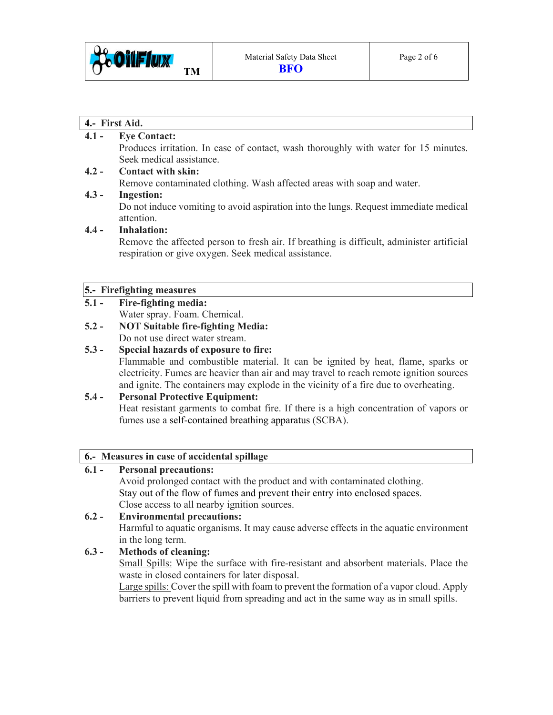

#### **4.- First Aid.**

#### **4.1 - Eye Contact:**

Produces irritation. In case of contact, wash thoroughly with water for 15 minutes. Seek medical assistance.

#### **4.2 - Contact with skin:**

Remove contaminated clothing. Wash affected areas with soap and water.

#### **4.3 - Ingestion:**

Do not induce vomiting to avoid aspiration into the lungs. Request immediate medical attention.

#### **4.4 - Inhalation:**

Remove the affected person to fresh air. If breathing is difficult, administer artificial respiration or give oxygen. Seek medical assistance.

#### **5.- Firefighting measures**

#### **5.1 - Fire-fighting media:**

- Water spray. Foam. Chemical.
- **5.2 NOT Suitable fire-fighting Media:**  Do not use direct water stream.

#### **5.3 - Special hazards of exposure to fire:**

Flammable and combustible material. It can be ignited by heat, flame, sparks or electricity. Fumes are heavier than air and may travel to reach remote ignition sources and ignite. The containers may explode in the vicinity of a fire due to overheating.

# **5.4 - Personal Protective Equipment:**

Heat resistant garments to combat fire. If there is a high concentration of vapors or fumes use a self-contained breathing apparatus (SCBA).

#### **6.- Measures in case of accidental spillage**

#### **6.1 - Personal precautions:**

Avoid prolonged contact with the product and with contaminated clothing. Stay out of the flow of fumes and prevent their entry into enclosed spaces. Close access to all nearby ignition sources.

#### **6.2 - Environmental precautions:**  Harmful to aquatic organisms. It may cause adverse effects in the aquatic environment in the long term.

#### **6.3 - Methods of cleaning:**

Small Spills: Wipe the surface with fire-resistant and absorbent materials. Place the waste in closed containers for later disposal.

 Large spills: Cover the spill with foam to prevent the formation of a vapor cloud. Apply barriers to prevent liquid from spreading and act in the same way as in small spills.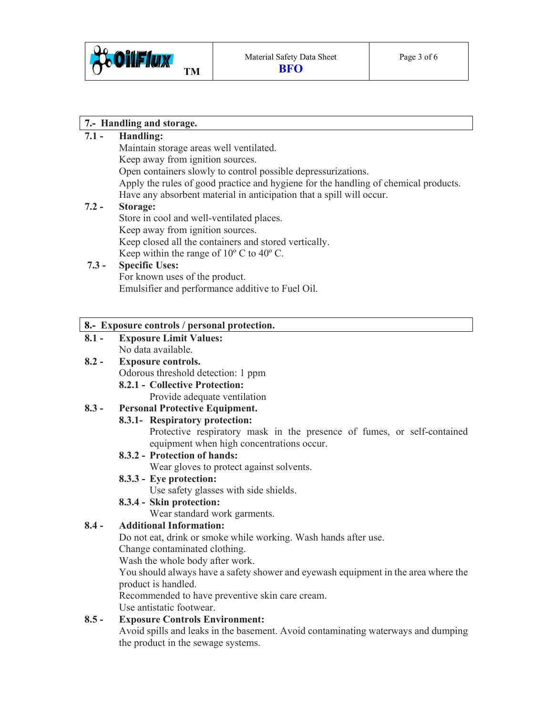

## **7.- Handling and storage.**

#### **7.1 - Handling:**

|         | Maintain storage areas well ventilated.                                             |
|---------|-------------------------------------------------------------------------------------|
|         | Keep away from ignition sources.                                                    |
|         | Open containers slowly to control possible depressurizations.                       |
|         | Apply the rules of good practice and hygiene for the handling of chemical products. |
|         | Have any absorbent material in anticipation that a spill will occur.                |
| $7.2 -$ | Storage:                                                                            |

# $7.2 -$

Store in cool and well-ventilated places. Keep away from ignition sources. Keep closed all the containers and stored vertically. Keep within the range of 10º C to 40º C.

#### **7.3 - Specific Uses:**  For known uses of the product. Emulsifier and performance additive to Fuel Oil.

#### **8.- Exposure controls / personal protection.**

**8.1 - Exposure Limit Values:**  No data available.

# **8.2 - Exposure controls.**

Odorous threshold detection: 1 ppm

 **8.2.1 - Collective Protection:** 

Provide adequate ventilation

# **8.3 - Personal Protective Equipment.**

#### **8.3.1- Respiratory protection:**

Protective respiratory mask in the presence of fumes, or self-contained equipment when high concentrations occur.

#### **8.3.2 - Protection of hands:**

Wear gloves to protect against solvents.

#### **8.3.3 - Eye protection:**

Use safety glasses with side shields.

#### **8.3.4 - Skin protection:**

Wear standard work garments.

#### **8.4 - Additional Information:**

Do not eat, drink or smoke while working. Wash hands after use.

Change contaminated clothing.

Wash the whole body after work.

 You should always have a safety shower and eyewash equipment in the area where the product is handled.

Recommended to have preventive skin care cream.

Use antistatic footwear.

# **8.5 - Exposure Controls Environment:**

Avoid spills and leaks in the basement. Avoid contaminating waterways and dumping the product in the sewage systems.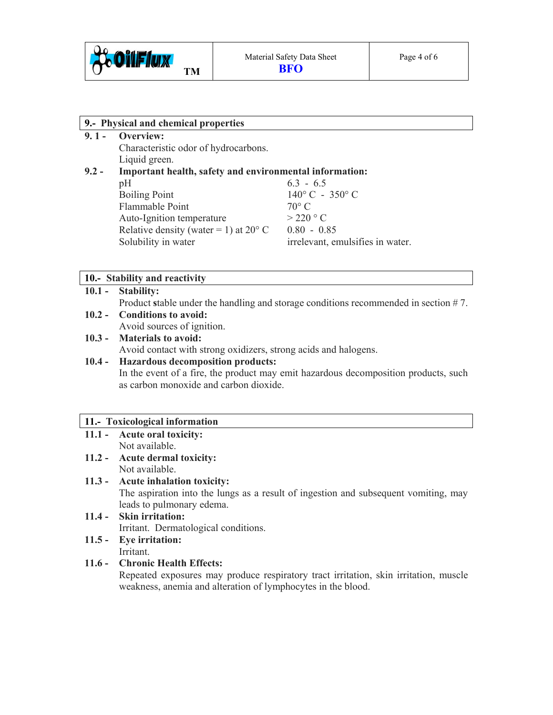

**9. 1 - Overview:** 

Characteristic odor of hydrocarbons. Liquid green.

## **9.2 - Important health, safety and environmental information:**

| pH                                             | $6.3 - 6.5$                      |
|------------------------------------------------|----------------------------------|
| <b>Boiling Point</b>                           | $140^{\circ}$ C - 350° C         |
| Flammable Point                                | $70^{\circ}$ C                   |
| Auto-Ignition temperature                      | $>$ 220 $^{\circ}$ C             |
| Relative density (water = 1) at $20^{\circ}$ C | $0.80 - 0.85$                    |
| Solubility in water                            | irrelevant, emulsifies in water. |

#### **10.- Stability and reactivity**

#### **10.1 - Stability:**

Product stable under the handling and storage conditions recommended in section #7.

**10.2 - Conditions to avoid:** 

Avoid sources of ignition.

#### **10.3 - Materials to avoid:**  Avoid contact with strong oxidizers, strong acids and halogens.

#### **10.4 - Hazardous decomposition products:**

In the event of a fire, the product may emit hazardous decomposition products, such as carbon monoxide and carbon dioxide.

#### **11.- Toxicological information**

#### **11.1 - Acute oral toxicity:** Not available.

**11.2 - Acute dermal toxicity:**  Not available.

#### **11.3 - Acute inhalation toxicity:**

The aspiration into the lungs as a result of ingestion and subsequent vomiting, may leads to pulmonary edema.

# **11.4 - Skin irritation:**  Irritant.Dermatological conditions.

**11.5 - Eye irritation:**  Irritant.

# **11.6 - Chronic Health Effects:**

Repeated exposures may produce respiratory tract irritation, skin irritation, muscle weakness, anemia and alteration of lymphocytes in the blood.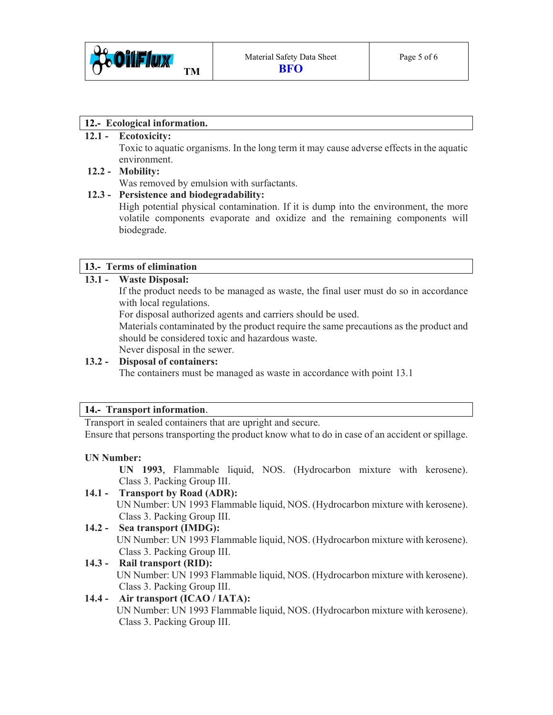

#### **12.- Ecological information.**

#### **12.1 - Ecotoxicity:**

Toxic to aquatic organisms. In the long term it may cause adverse effects in the aquatic environment.

#### **12.2 - Mobility:**

Was removed by emulsion with surfactants.

#### **12.3 - Persistence and biodegradability:**

High potential physical contamination. If it is dump into the environment, the more volatile components evaporate and oxidize and the remaining components will biodegrade.

#### **13.- Terms of elimination**

#### **13.1 - Waste Disposal:**

If the product needs to be managed as waste, the final user must do so in accordance with local regulations.

For disposal authorized agents and carriers should be used.

 Materials contaminated by the product require the same precautions as the product and should be considered toxic and hazardous waste.

Never disposal in the sewer.

#### **13.2 - Disposal of containers:**

The containers must be managed as waste in accordance with point 13.1

#### **14.- Transport information**.

Transport in sealed containers that are upright and secure.

Ensure that persons transporting the product know what to do in case of an accident or spillage.

#### **UN Number:**

 **UN 1993**, Flammable liquid, NOS. (Hydrocarbon mixture with kerosene). Class 3. Packing Group III.

#### **14.1 - Transport by Road (ADR):**

 UN Number: UN 1993 Flammable liquid, NOS. (Hydrocarbon mixture with kerosene). Class 3. Packing Group III.

#### **14.2 - Sea transport (IMDG):**

UN Number: UN 1993 Flammable liquid, NOS. (Hydrocarbon mixture with kerosene). Class 3. Packing Group III.

# **14.3 - Rail transport (RID):** UN Number: UN 1993 Flammable liquid, NOS. (Hydrocarbon mixture with kerosene). Class 3. Packing Group III.

#### **14.4 - Air transport (ICAO / IATA):**

UN Number: UN 1993 Flammable liquid, NOS. (Hydrocarbon mixture with kerosene). Class 3. Packing Group III.